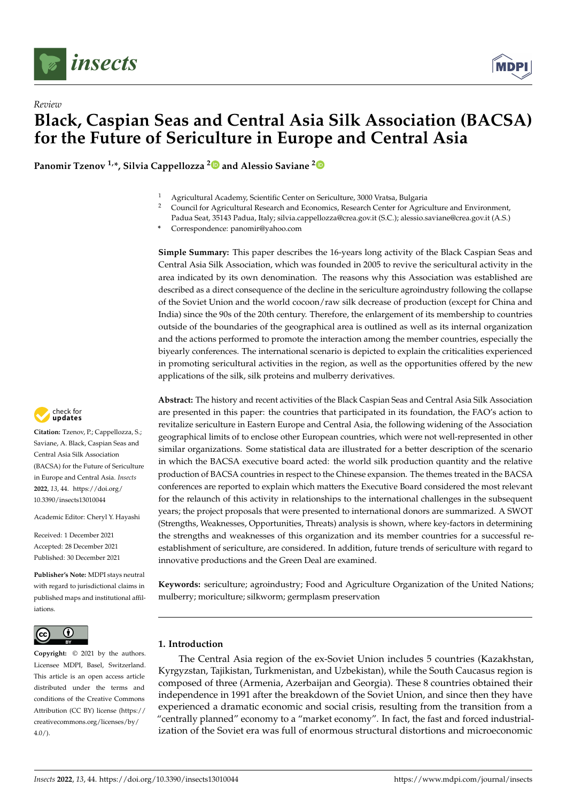



**Panomir Tzenov 1,\*, Silvia Cappellozza [2](https://orcid.org/0000-0002-7703-188X) and Alessio Saviane [2](https://orcid.org/0000-0003-4372-5688)**

- <sup>1</sup> Agricultural Academy, Scientific Center on Sericulture, 3000 Vratsa, Bulgaria
- <sup>2</sup> Council for Agricultural Research and Economics, Research Center for Agriculture and Environment,
- Padua Seat, 35143 Padua, Italy; silvia.cappellozza@crea.gov.it (S.C.); alessio.saviane@crea.gov.it (A.S.)

**\*** Correspondence: panomir@yahoo.com

**Simple Summary:** This paper describes the 16-years long activity of the Black Caspian Seas and Central Asia Silk Association, which was founded in 2005 to revive the sericultural activity in the area indicated by its own denomination. The reasons why this Association was established are described as a direct consequence of the decline in the sericulture agroindustry following the collapse of the Soviet Union and the world cocoon/raw silk decrease of production (except for China and India) since the 90s of the 20th century. Therefore, the enlargement of its membership to countries outside of the boundaries of the geographical area is outlined as well as its internal organization and the actions performed to promote the interaction among the member countries, especially the biyearly conferences. The international scenario is depicted to explain the criticalities experienced in promoting sericultural activities in the region, as well as the opportunities offered by the new applications of the silk, silk proteins and mulberry derivatives.

**Abstract:** The history and recent activities of the Black Caspian Seas and Central Asia Silk Association are presented in this paper: the countries that participated in its foundation, the FAO's action to revitalize sericulture in Eastern Europe and Central Asia, the following widening of the Association geographical limits of to enclose other European countries, which were not well-represented in other similar organizations. Some statistical data are illustrated for a better description of the scenario in which the BACSA executive board acted: the world silk production quantity and the relative production of BACSA countries in respect to the Chinese expansion. The themes treated in the BACSA conferences are reported to explain which matters the Executive Board considered the most relevant for the relaunch of this activity in relationships to the international challenges in the subsequent years; the project proposals that were presented to international donors are summarized. A SWOT (Strengths, Weaknesses, Opportunities, Threats) analysis is shown, where key-factors in determining the strengths and weaknesses of this organization and its member countries for a successful reestablishment of sericulture, are considered. In addition, future trends of sericulture with regard to innovative productions and the Green Deal are examined.

**Keywords:** sericulture; agroindustry; Food and Agriculture Organization of the United Nations; mulberry; moriculture; silkworm; germplasm preservation

# **1. Introduction**

The Central Asia region of the ex-Soviet Union includes 5 countries (Kazakhstan, Kyrgyzstan, Tajikistan, Turkmenistan, and Uzbekistan), while the South Caucasus region is composed of three (Armenia, Azerbaijan and Georgia). These 8 countries obtained their independence in 1991 after the breakdown of the Soviet Union, and since then they have experienced a dramatic economic and social crisis, resulting from the transition from a "centrally planned" economy to a "market economy". In fact, the fast and forced industrialization of the Soviet era was full of enormous structural distortions and microeconomic



**Citation:** Tzenov, P.; Cappellozza, S.; Saviane, A. Black, Caspian Seas and Central Asia Silk Association (BACSA) for the Future of Sericulture in Europe and Central Asia. *Insects* **2022**, *13*, 44. [https://doi.org/](https://doi.org/10.3390/insects13010044) [10.3390/insects13010044](https://doi.org/10.3390/insects13010044)

Academic Editor: Cheryl Y. Hayashi

Received: 1 December 2021 Accepted: 28 December 2021 Published: 30 December 2021

**Publisher's Note:** MDPI stays neutral with regard to jurisdictional claims in published maps and institutional affiliations.



**Copyright:** © 2021 by the authors. Licensee MDPI, Basel, Switzerland. This article is an open access article distributed under the terms and conditions of the Creative Commons Attribution (CC BY) license [\(https://](https://creativecommons.org/licenses/by/4.0/) [creativecommons.org/licenses/by/](https://creativecommons.org/licenses/by/4.0/)  $4.0/$ ).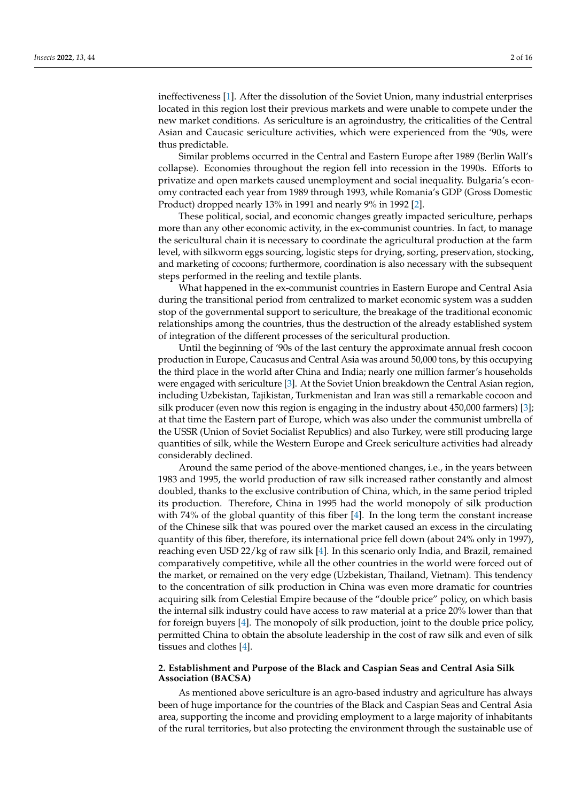ineffectiveness [\[1\]](#page-14-0). After the dissolution of the Soviet Union, many industrial enterprises located in this region lost their previous markets and were unable to compete under the new market conditions. As sericulture is an agroindustry, the criticalities of the Central Asian and Caucasic sericulture activities, which were experienced from the '90s, were thus predictable.

Similar problems occurred in the Central and Eastern Europe after 1989 (Berlin Wall's collapse). Economies throughout the region fell into recession in the 1990s. Efforts to privatize and open markets caused unemployment and social inequality. Bulgaria's economy contracted each year from 1989 through 1993, while Romania's GDP (Gross Domestic Product) dropped nearly 13% in 1991 and nearly 9% in 1992 [\[2\]](#page-14-1).

These political, social, and economic changes greatly impacted sericulture, perhaps more than any other economic activity, in the ex-communist countries. In fact, to manage the sericultural chain it is necessary to coordinate the agricultural production at the farm level, with silkworm eggs sourcing, logistic steps for drying, sorting, preservation, stocking, and marketing of cocoons; furthermore, coordination is also necessary with the subsequent steps performed in the reeling and textile plants.

What happened in the ex-communist countries in Eastern Europe and Central Asia during the transitional period from centralized to market economic system was a sudden stop of the governmental support to sericulture, the breakage of the traditional economic relationships among the countries, thus the destruction of the already established system of integration of the different processes of the sericultural production.

Until the beginning of '90s of the last century the approximate annual fresh cocoon production in Europe, Caucasus and Central Asia was around 50,000 tons, by this occupying the third place in the world after China and India; nearly one million farmer's households were engaged with sericulture [\[3\]](#page-14-2). At the Soviet Union breakdown the Central Asian region, including Uzbekistan, Tajikistan, Turkmenistan and Iran was still a remarkable cocoon and silk producer (even now this region is engaging in the industry about 450,000 farmers) [\[3\]](#page-14-2); at that time the Eastern part of Europe, which was also under the communist umbrella of the USSR (Union of Soviet Socialist Republics) and also Turkey, were still producing large quantities of silk, while the Western Europe and Greek sericulture activities had already considerably declined.

Around the same period of the above-mentioned changes, i.e., in the years between 1983 and 1995, the world production of raw silk increased rather constantly and almost doubled, thanks to the exclusive contribution of China, which, in the same period tripled its production. Therefore, China in 1995 had the world monopoly of silk production with 74% of the global quantity of this fiber [\[4\]](#page-14-3). In the long term the constant increase of the Chinese silk that was poured over the market caused an excess in the circulating quantity of this fiber, therefore, its international price fell down (about 24% only in 1997), reaching even USD 22/kg of raw silk [\[4\]](#page-14-3). In this scenario only India, and Brazil, remained comparatively competitive, while all the other countries in the world were forced out of the market, or remained on the very edge (Uzbekistan, Thailand, Vietnam). This tendency to the concentration of silk production in China was even more dramatic for countries acquiring silk from Celestial Empire because of the "double price" policy, on which basis the internal silk industry could have access to raw material at a price 20% lower than that for foreign buyers [\[4\]](#page-14-3). The monopoly of silk production, joint to the double price policy, permitted China to obtain the absolute leadership in the cost of raw silk and even of silk tissues and clothes [\[4\]](#page-14-3).

## **2. Establishment and Purpose of the Black and Caspian Seas and Central Asia Silk Association (BACSA)**

As mentioned above sericulture is an agro-based industry and agriculture has always been of huge importance for the countries of the Black and Caspian Seas and Central Asia area, supporting the income and providing employment to a large majority of inhabitants of the rural territories, but also protecting the environment through the sustainable use of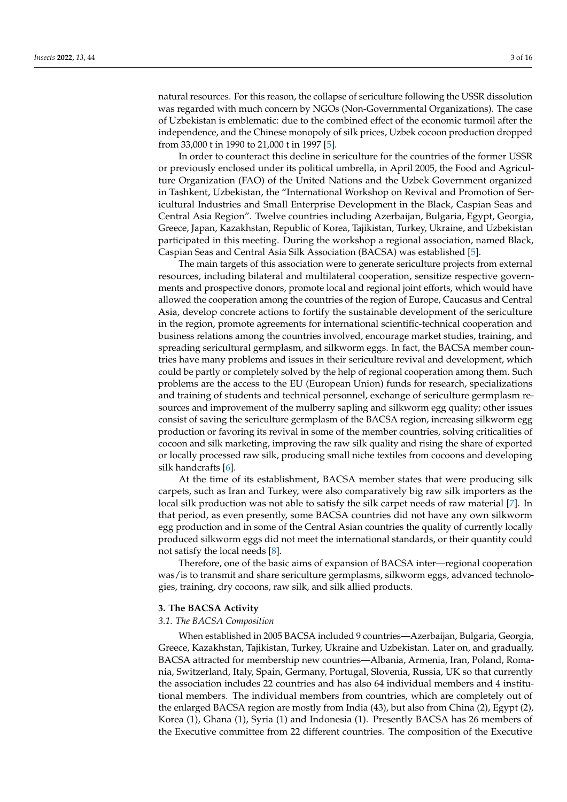natural resources. For this reason, the collapse of sericulture following the USSR dissolution was regarded with much concern by NGOs (Non-Governmental Organizations). The case of Uzbekistan is emblematic: due to the combined effect of the economic turmoil after the independence, and the Chinese monopoly of silk prices, Uzbek cocoon production dropped from 33,000 t in 1990 to 21,000 t in 1997 [\[5\]](#page-14-4).

In order to counteract this decline in sericulture for the countries of the former USSR or previously enclosed under its political umbrella, in April 2005, the Food and Agriculture Organization (FAO) of the United Nations and the Uzbek Government organized in Tashkent, Uzbekistan, the "International Workshop on Revival and Promotion of Sericultural Industries and Small Enterprise Development in the Black, Caspian Seas and Central Asia Region". Twelve countries including Azerbaijan, Bulgaria, Egypt, Georgia, Greece, Japan, Kazakhstan, Republic of Korea, Tajikistan, Turkey, Ukraine, and Uzbekistan participated in this meeting. During the workshop a regional association, named Black, Caspian Seas and Central Asia Silk Association (BACSA) was established [\[5\]](#page-14-4).

The main targets of this association were to generate sericulture projects from external resources, including bilateral and multilateral cooperation, sensitize respective governments and prospective donors, promote local and regional joint efforts, which would have allowed the cooperation among the countries of the region of Europe, Caucasus and Central Asia, develop concrete actions to fortify the sustainable development of the sericulture in the region, promote agreements for international scientific-technical cooperation and business relations among the countries involved, encourage market studies, training, and spreading sericultural germplasm, and silkworm eggs. In fact, the BACSA member countries have many problems and issues in their sericulture revival and development, which could be partly or completely solved by the help of regional cooperation among them. Such problems are the access to the EU (European Union) funds for research, specializations and training of students and technical personnel, exchange of sericulture germplasm resources and improvement of the mulberry sapling and silkworm egg quality; other issues consist of saving the sericulture germplasm of the BACSA region, increasing silkworm egg production or favoring its revival in some of the member countries, solving criticalities of cocoon and silk marketing, improving the raw silk quality and rising the share of exported or locally processed raw silk, producing small niche textiles from cocoons and developing silk handcrafts [\[6\]](#page-14-5).

At the time of its establishment, BACSA member states that were producing silk carpets, such as Iran and Turkey, were also comparatively big raw silk importers as the local silk production was not able to satisfy the silk carpet needs of raw material [\[7\]](#page-14-6). In that period, as even presently, some BACSA countries did not have any own silkworm egg production and in some of the Central Asian countries the quality of currently locally produced silkworm eggs did not meet the international standards, or their quantity could not satisfy the local needs [\[8\]](#page-14-7).

Therefore, one of the basic aims of expansion of BACSA inter—regional cooperation was/is to transmit and share sericulture germplasms, silkworm eggs, advanced technologies, training, dry cocoons, raw silk, and silk allied products.

#### **3. The BACSA Activity**

## *3.1. The BACSA Composition*

When established in 2005 BACSA included 9 countries—Azerbaijan, Bulgaria, Georgia, Greece, Kazakhstan, Tajikistan, Turkey, Ukraine and Uzbekistan. Later on, and gradually, BACSA attracted for membership new countries—Albania, Armenia, Iran, Poland, Romania, Switzerland, Italy, Spain, Germany, Portugal, Slovenia, Russia, UK so that currently the association includes 22 countries and has also 64 individual members and 4 institutional members. The individual members from countries, which are completely out of the enlarged BACSA region are mostly from India (43), but also from China (2), Egypt (2), Korea (1), Ghana (1), Syria (1) and Indonesia (1). Presently BACSA has 26 members of the Executive committee from 22 different countries. The composition of the Executive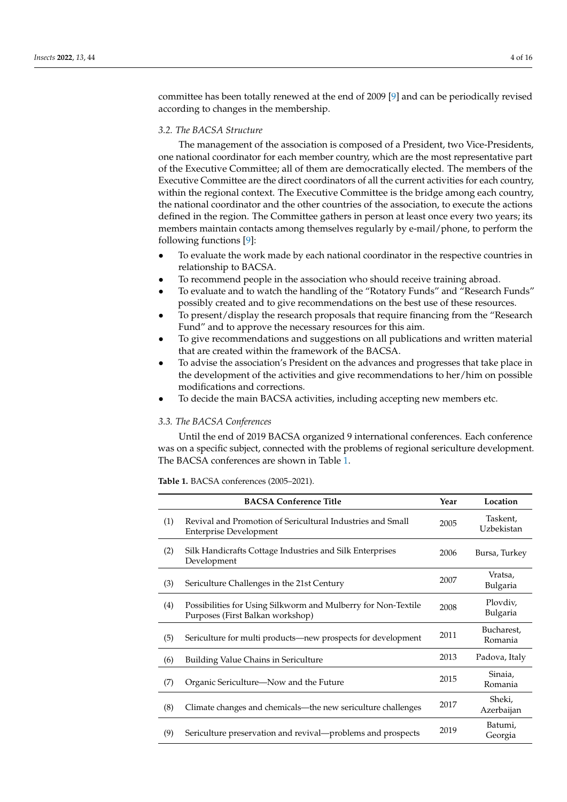committee has been totally renewed at the end of 2009 [\[9\]](#page-14-8) and can be periodically revised according to changes in the membership.

## *3.2. The BACSA Structure*

The management of the association is composed of a President, two Vice-Presidents, one national coordinator for each member country, which are the most representative part of the Executive Committee; all of them are democratically elected. The members of the Executive Committee are the direct coordinators of all the current activities for each country, within the regional context. The Executive Committee is the bridge among each country, the national coordinator and the other countries of the association, to execute the actions defined in the region. The Committee gathers in person at least once every two years; its members maintain contacts among themselves regularly by e-mail/phone, to perform the following functions [\[9\]](#page-14-8):

- To evaluate the work made by each national coordinator in the respective countries in relationship to BACSA.
- To recommend people in the association who should receive training abroad.
- To evaluate and to watch the handling of the "Rotatory Funds" and "Research Funds" possibly created and to give recommendations on the best use of these resources.
- To present/display the research proposals that require financing from the "Research Fund" and to approve the necessary resources for this aim.
- To give recommendations and suggestions on all publications and written material that are created within the framework of the BACSA.
- To advise the association's President on the advances and progresses that take place in the development of the activities and give recommendations to her/him on possible modifications and corrections.
- To decide the main BACSA activities, including accepting new members etc.

## *3.3. The BACSA Conferences*

Until the end of 2019 BACSA organized 9 international conferences. Each conference was on a specific subject, connected with the problems of regional sericulture development. The BACSA conferences are shown in Table [1.](#page-3-0)

<span id="page-3-0"></span>**Table 1.** BACSA conferences (2005–2021).

|     | <b>BACSA Conference Title</b>                                                                     | Year | Location               |
|-----|---------------------------------------------------------------------------------------------------|------|------------------------|
| (1) | Revival and Promotion of Sericultural Industries and Small<br><b>Enterprise Development</b>       | 2005 | Taskent,<br>Uzbekistan |
| (2) | Silk Handicrafts Cottage Industries and Silk Enterprises<br>Development                           | 2006 | Bursa, Turkey          |
| (3) | Sericulture Challenges in the 21st Century                                                        | 2007 | Vratsa,<br>Bulgaria    |
| (4) | Possibilities for Using Silkworm and Mulberry for Non-Textile<br>Purposes (First Balkan workshop) | 2008 | Plovdiv,<br>Bulgaria   |
| (5) | Sericulture for multi products—new prospects for development                                      | 2011 | Bucharest,<br>Romania  |
| (6) | Building Value Chains in Sericulture                                                              | 2013 | Padova, Italy          |
| (7) | Organic Sericulture-Now and the Future                                                            | 2015 | Sinaia,<br>Romania     |
| (8) | Climate changes and chemicals—the new sericulture challenges                                      | 2017 | Sheki,<br>Azerbaijan   |
| (9) | Sericulture preservation and revival-problems and prospects                                       | 2019 | Batumi,<br>Georgia     |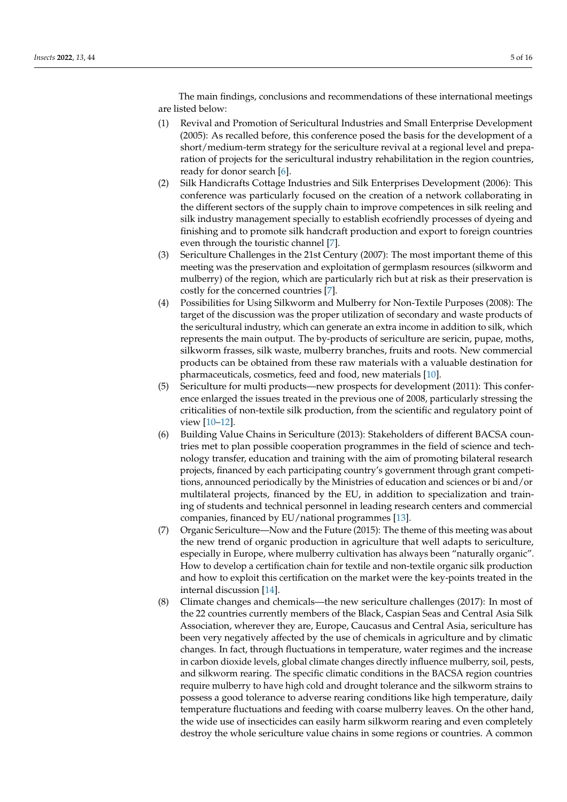The main findings, conclusions and recommendations of these international meetings are listed below:

- (1) Revival and Promotion of Sericultural Industries and Small Enterprise Development (2005): As recalled before, this conference posed the basis for the development of a short/medium-term strategy for the sericulture revival at a regional level and preparation of projects for the sericultural industry rehabilitation in the region countries, ready for donor search [\[6\]](#page-14-5).
- (2) Silk Handicrafts Cottage Industries and Silk Enterprises Development (2006): This conference was particularly focused on the creation of a network collaborating in the different sectors of the supply chain to improve competences in silk reeling and silk industry management specially to establish ecofriendly processes of dyeing and finishing and to promote silk handcraft production and export to foreign countries even through the touristic channel [\[7\]](#page-14-6).
- (3) Sericulture Challenges in the 21st Century (2007): The most important theme of this meeting was the preservation and exploitation of germplasm resources (silkworm and mulberry) of the region, which are particularly rich but at risk as their preservation is costly for the concerned countries [\[7\]](#page-14-6).
- (4) Possibilities for Using Silkworm and Mulberry for Non-Textile Purposes (2008): The target of the discussion was the proper utilization of secondary and waste products of the sericultural industry, which can generate an extra income in addition to silk, which represents the main output. The by-products of sericulture are sericin, pupae, moths, silkworm frasses, silk waste, mulberry branches, fruits and roots. New commercial products can be obtained from these raw materials with a valuable destination for pharmaceuticals, cosmetics, feed and food, new materials [\[10\]](#page-14-9).
- (5) Sericulture for multi products—new prospects for development (2011): This conference enlarged the issues treated in the previous one of 2008, particularly stressing the criticalities of non-textile silk production, from the scientific and regulatory point of view [\[10–](#page-14-9)[12\]](#page-14-10).
- (6) Building Value Chains in Sericulture (2013): Stakeholders of different BACSA countries met to plan possible cooperation programmes in the field of science and technology transfer, education and training with the aim of promoting bilateral research projects, financed by each participating country's government through grant competitions, announced periodically by the Ministries of education and sciences or bi and/or multilateral projects, financed by the EU, in addition to specialization and training of students and technical personnel in leading research centers and commercial companies, financed by EU/national programmes [\[13\]](#page-14-11).
- (7) Organic Sericulture—Now and the Future (2015): The theme of this meeting was about the new trend of organic production in agriculture that well adapts to sericulture, especially in Europe, where mulberry cultivation has always been "naturally organic". How to develop a certification chain for textile and non-textile organic silk production and how to exploit this certification on the market were the key-points treated in the internal discussion [\[14\]](#page-14-12).
- (8) Climate changes and chemicals—the new sericulture challenges (2017): In most of the 22 countries currently members of the Black, Caspian Seas and Central Asia Silk Association, wherever they are, Europe, Caucasus and Central Asia, sericulture has been very negatively affected by the use of chemicals in agriculture and by climatic changes. In fact, through fluctuations in temperature, water regimes and the increase in carbon dioxide levels, global climate changes directly influence mulberry, soil, pests, and silkworm rearing. The specific climatic conditions in the BACSA region countries require mulberry to have high cold and drought tolerance and the silkworm strains to possess a good tolerance to adverse rearing conditions like high temperature, daily temperature fluctuations and feeding with coarse mulberry leaves. On the other hand, the wide use of insecticides can easily harm silkworm rearing and even completely destroy the whole sericulture value chains in some regions or countries. A common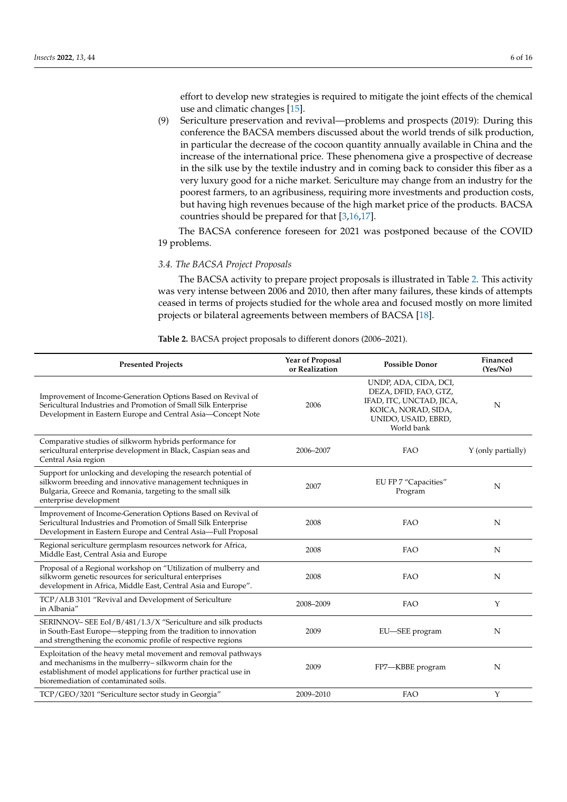effort to develop new strategies is required to mitigate the joint effects of the chemical use and climatic changes [\[15\]](#page-14-13).

(9) Sericulture preservation and revival—problems and prospects (2019): During this conference the BACSA members discussed about the world trends of silk production, in particular the decrease of the cocoon quantity annually available in China and the increase of the international price. These phenomena give a prospective of decrease in the silk use by the textile industry and in coming back to consider this fiber as a very luxury good for a niche market. Sericulture may change from an industry for the poorest farmers, to an agribusiness, requiring more investments and production costs, but having high revenues because of the high market price of the products. BACSA countries should be prepared for that [\[3,](#page-14-2)[16,](#page-14-14)[17\]](#page-14-15).

The BACSA conference foreseen for 2021 was postponed because of the COVID 19 problems.

## *3.4. The BACSA Project Proposals*

The BACSA activity to prepare project proposals is illustrated in Table [2.](#page-5-0) This activity was very intense between 2006 and 2010, then after many failures, these kinds of attempts ceased in terms of projects studied for the whole area and focused mostly on more limited projects or bilateral agreements between members of BACSA [\[18\]](#page-14-16).

<span id="page-5-0"></span>**Table 2.** BACSA project proposals to different donors (2006–2021).

| <b>Presented Projects</b>                                                                                                                                                                                                           | Year of Proposal<br>or Realization | <b>Possible Donor</b>                                                                                                                  | Financed<br>(Yes/No) |
|-------------------------------------------------------------------------------------------------------------------------------------------------------------------------------------------------------------------------------------|------------------------------------|----------------------------------------------------------------------------------------------------------------------------------------|----------------------|
| Improvement of Income-Generation Options Based on Revival of<br>Sericultural Industries and Promotion of Small Silk Enterprise<br>Development in Eastern Europe and Central Asia-Concept Note                                       | 2006                               | UNDP, ADA, CIDA, DCI,<br>DEZA, DFID, FAO, GTZ,<br>IFAD, ITC, UNCTAD, JICA,<br>KOICA, NORAD, SIDA,<br>UNIDO, USAID, EBRD,<br>World bank | N                    |
| Comparative studies of silkworm hybrids performance for<br>sericultural enterprise development in Black, Caspian seas and<br>Central Asia region                                                                                    | 2006-2007                          | <b>FAO</b>                                                                                                                             | Y (only partially)   |
| Support for unlocking and developing the research potential of<br>silkworm breeding and innovative management techniques in<br>Bulgaria, Greece and Romania, targeting to the small silk<br>enterprise development                  | 2007                               | EU FP 7 "Capacities"<br>Program                                                                                                        | N                    |
| Improvement of Income-Generation Options Based on Revival of<br>Sericultural Industries and Promotion of Small Silk Enterprise<br>Development in Eastern Europe and Central Asia-Full Proposal                                      | 2008                               | <b>FAO</b>                                                                                                                             | N                    |
| Regional sericulture germplasm resources network for Africa,<br>Middle East, Central Asia and Europe                                                                                                                                | 2008                               | <b>FAO</b>                                                                                                                             | N                    |
| Proposal of a Regional workshop on "Utilization of mulberry and<br>silkworm genetic resources for sericultural enterprises<br>development in Africa, Middle East, Central Asia and Europe".                                         | 2008                               | <b>FAO</b>                                                                                                                             | N                    |
| TCP/ALB 3101 "Revival and Development of Sericulture<br>in Albania"                                                                                                                                                                 | 2008-2009                          | <b>FAO</b>                                                                                                                             | Y                    |
| SERINNOV- SEE EoI/B/481/1.3/X "Sericulture and silk products<br>in South-East Europe—stepping from the tradition to innovation<br>and strengthening the economic profile of respective regions                                      | 2009                               | EU-SEE program                                                                                                                         | N                    |
| Exploitation of the heavy metal movement and removal pathways<br>and mechanisms in the mulberry-silkworm chain for the<br>establishment of model applications for further practical use in<br>bioremediation of contaminated soils. | 2009                               | FP7-KBBE program                                                                                                                       | N                    |
| TCP/GEO/3201 "Sericulture sector study in Georgia"                                                                                                                                                                                  | 2009-2010                          | FAO                                                                                                                                    | Υ                    |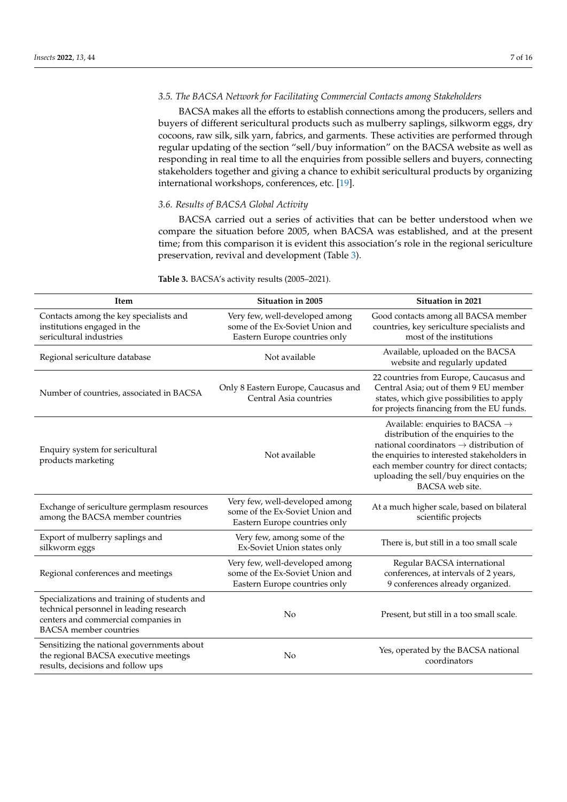## *3.5. The BACSA Network for Facilitating Commercial Contacts among Stakeholders*

BACSA makes all the efforts to establish connections among the producers, sellers and buyers of different sericultural products such as mulberry saplings, silkworm eggs, dry cocoons, raw silk, silk yarn, fabrics, and garments. These activities are performed through regular updating of the section "sell/buy information" on the BACSA website as well as responding in real time to all the enquiries from possible sellers and buyers, connecting stakeholders together and giving a chance to exhibit sericultural products by organizing international workshops, conferences, etc. [\[19\]](#page-14-17).

## *3.6. Results of BACSA Global Activity*

BACSA carried out a series of activities that can be better understood when we compare the situation before 2005, when BACSA was established, and at the present time; from this comparison it is evident this association's role in the regional sericulture preservation, revival and development (Table [3\)](#page-7-0).

| Item                                                                                                                                                            | Situation in 2005                                                                                  | Situation in 2021                                                                                                                                                                                                                                                                                   |
|-----------------------------------------------------------------------------------------------------------------------------------------------------------------|----------------------------------------------------------------------------------------------------|-----------------------------------------------------------------------------------------------------------------------------------------------------------------------------------------------------------------------------------------------------------------------------------------------------|
| Contacts among the key specialists and<br>institutions engaged in the<br>sericultural industries                                                                | Very few, well-developed among<br>some of the Ex-Soviet Union and<br>Eastern Europe countries only | Good contacts among all BACSA member<br>countries, key sericulture specialists and<br>most of the institutions                                                                                                                                                                                      |
| Regional sericulture database                                                                                                                                   | Not available                                                                                      | Available, uploaded on the BACSA<br>website and regularly updated                                                                                                                                                                                                                                   |
| Number of countries, associated in BACSA                                                                                                                        | Only 8 Eastern Europe, Caucasus and<br>Central Asia countries                                      | 22 countries from Europe, Caucasus and<br>Central Asia; out of them 9 EU member<br>states, which give possibilities to apply<br>for projects financing from the EU funds.                                                                                                                           |
| Enquiry system for sericultural<br>products marketing                                                                                                           | Not available                                                                                      | Available: enquiries to BACSA $\rightarrow$<br>distribution of the enquiries to the<br>national coordinators $\rightarrow$ distribution of<br>the enquiries to interested stakeholders in<br>each member country for direct contacts;<br>uploading the sell/buy enquiries on the<br>BACSA web site. |
| Exchange of sericulture germplasm resources<br>among the BACSA member countries                                                                                 | Very few, well-developed among<br>some of the Ex-Soviet Union and<br>Eastern Europe countries only | At a much higher scale, based on bilateral<br>scientific projects                                                                                                                                                                                                                                   |
| Export of mulberry saplings and<br>silkworm eggs                                                                                                                | Very few, among some of the<br>Ex-Soviet Union states only                                         | There is, but still in a too small scale                                                                                                                                                                                                                                                            |
| Regional conferences and meetings                                                                                                                               | Very few, well-developed among<br>some of the Ex-Soviet Union and<br>Eastern Europe countries only | Regular BACSA international<br>conferences, at intervals of 2 years,<br>9 conferences already organized.                                                                                                                                                                                            |
| Specializations and training of students and<br>technical personnel in leading research<br>centers and commercial companies in<br><b>BACSA</b> member countries | N <sub>o</sub>                                                                                     | Present, but still in a too small scale.                                                                                                                                                                                                                                                            |
| Sensitizing the national governments about<br>the regional BACSA executive meetings<br>results, decisions and follow ups                                        | No                                                                                                 | Yes, operated by the BACSA national<br>coordinators                                                                                                                                                                                                                                                 |

**Table 3.** BACSA's activity results (2005–2021).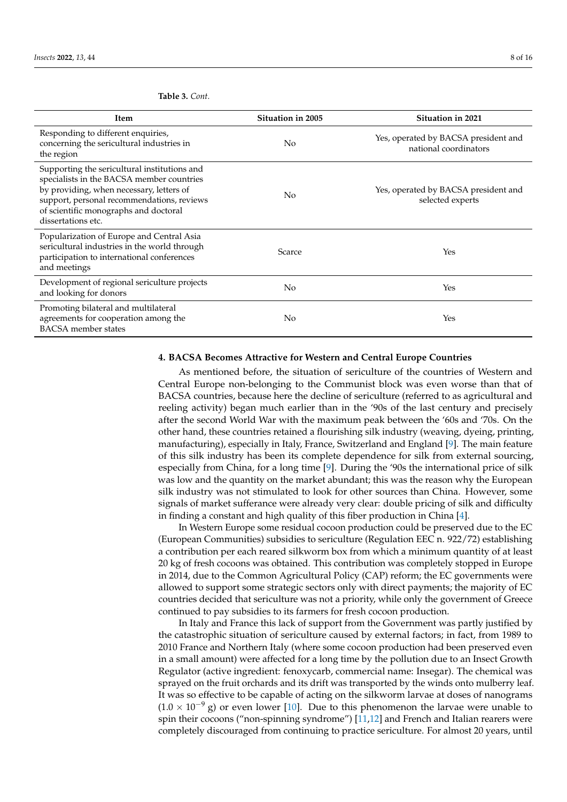<span id="page-7-0"></span>**Table 3.** *Cont.*

| Item                                                                                                                                                                                                                                               | Situation in 2005 | Situation in 2021                                             |
|----------------------------------------------------------------------------------------------------------------------------------------------------------------------------------------------------------------------------------------------------|-------------------|---------------------------------------------------------------|
| Responding to different enquiries,<br>concerning the sericultural industries in<br>the region                                                                                                                                                      | N <sub>o</sub>    | Yes, operated by BACSA president and<br>national coordinators |
| Supporting the sericultural institutions and<br>specialists in the BACSA member countries<br>by providing, when necessary, letters of<br>support, personal recommendations, reviews<br>of scientific monographs and doctoral<br>dissertations etc. | N <sub>o</sub>    | Yes, operated by BACSA president and<br>selected experts      |
| Popularization of Europe and Central Asia<br>sericultural industries in the world through<br>participation to international conferences<br>and meetings                                                                                            | Scarce            | Yes                                                           |
| Development of regional sericulture projects<br>and looking for donors                                                                                                                                                                             | N <sub>o</sub>    | Yes                                                           |
| Promoting bilateral and multilateral<br>agreements for cooperation among the<br><b>BACSA</b> member states                                                                                                                                         | N <sub>0</sub>    | Yes                                                           |

## **4. BACSA Becomes Attractive for Western and Central Europe Countries**

As mentioned before, the situation of sericulture of the countries of Western and Central Europe non-belonging to the Communist block was even worse than that of BACSA countries, because here the decline of sericulture (referred to as agricultural and reeling activity) began much earlier than in the '90s of the last century and precisely after the second World War with the maximum peak between the '60s and '70s. On the other hand, these countries retained a flourishing silk industry (weaving, dyeing, printing, manufacturing), especially in Italy, France, Switzerland and England [\[9\]](#page-14-8). The main feature of this silk industry has been its complete dependence for silk from external sourcing, especially from China, for a long time [\[9\]](#page-14-8). During the '90s the international price of silk was low and the quantity on the market abundant; this was the reason why the European silk industry was not stimulated to look for other sources than China. However, some signals of market sufferance were already very clear: double pricing of silk and difficulty in finding a constant and high quality of this fiber production in China [\[4\]](#page-14-3).

In Western Europe some residual cocoon production could be preserved due to the EC (European Communities) subsidies to sericulture (Regulation EEC n. 922/72) establishing a contribution per each reared silkworm box from which a minimum quantity of at least 20 kg of fresh cocoons was obtained. This contribution was completely stopped in Europe in 2014, due to the Common Agricultural Policy (CAP) reform; the EC governments were allowed to support some strategic sectors only with direct payments; the majority of EC countries decided that sericulture was not a priority, while only the government of Greece continued to pay subsidies to its farmers for fresh cocoon production.

In Italy and France this lack of support from the Government was partly justified by the catastrophic situation of sericulture caused by external factors; in fact, from 1989 to 2010 France and Northern Italy (where some cocoon production had been preserved even in a small amount) were affected for a long time by the pollution due to an Insect Growth Regulator (active ingredient: fenoxycarb, commercial name: Insegar). The chemical was sprayed on the fruit orchards and its drift was transported by the winds onto mulberry leaf. It was so effective to be capable of acting on the silkworm larvae at doses of nanograms  $(1.0 \times 10^{-9} \text{ g})$  or even lower [\[10\]](#page-14-9). Due to this phenomenon the larvae were unable to spin their cocoons ("non-spinning syndrome") [\[11](#page-14-18)[,12\]](#page-14-10) and French and Italian rearers were completely discouraged from continuing to practice sericulture. For almost 20 years, until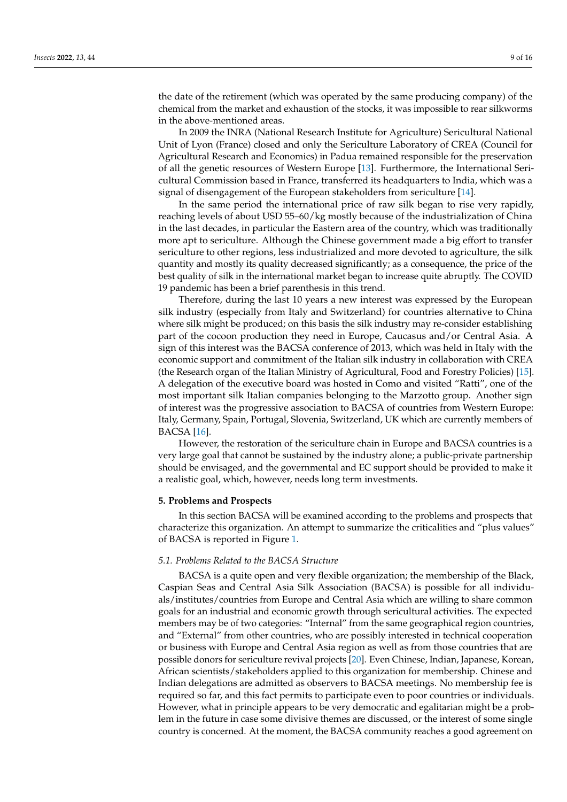the date of the retirement (which was operated by the same producing company) of the chemical from the market and exhaustion of the stocks, it was impossible to rear silkworms in the above-mentioned areas.

In 2009 the INRA (National Research Institute for Agriculture) Sericultural National Unit of Lyon (France) closed and only the Sericulture Laboratory of CREA (Council for Agricultural Research and Economics) in Padua remained responsible for the preservation of all the genetic resources of Western Europe [\[13\]](#page-14-11). Furthermore, the International Sericultural Commission based in France, transferred its headquarters to India, which was a signal of disengagement of the European stakeholders from sericulture [\[14\]](#page-14-12).

In the same period the international price of raw silk began to rise very rapidly, reaching levels of about USD 55–60/kg mostly because of the industrialization of China in the last decades, in particular the Eastern area of the country, which was traditionally more apt to sericulture. Although the Chinese government made a big effort to transfer sericulture to other regions, less industrialized and more devoted to agriculture, the silk quantity and mostly its quality decreased significantly; as a consequence, the price of the best quality of silk in the international market began to increase quite abruptly. The COVID 19 pandemic has been a brief parenthesis in this trend.

Therefore, during the last 10 years a new interest was expressed by the European silk industry (especially from Italy and Switzerland) for countries alternative to China where silk might be produced; on this basis the silk industry may re-consider establishing part of the cocoon production they need in Europe, Caucasus and/or Central Asia. A sign of this interest was the BACSA conference of 2013, which was held in Italy with the economic support and commitment of the Italian silk industry in collaboration with CREA (the Research organ of the Italian Ministry of Agricultural, Food and Forestry Policies) [\[15\]](#page-14-13). A delegation of the executive board was hosted in Como and visited "Ratti", one of the most important silk Italian companies belonging to the Marzotto group. Another sign of interest was the progressive association to BACSA of countries from Western Europe: Italy, Germany, Spain, Portugal, Slovenia, Switzerland, UK which are currently members of BACSA [\[16\]](#page-14-14).

However, the restoration of the sericulture chain in Europe and BACSA countries is a very large goal that cannot be sustained by the industry alone; a public-private partnership should be envisaged, and the governmental and EC support should be provided to make it a realistic goal, which, however, needs long term investments.

#### **5. Problems and Prospects**

In this section BACSA will be examined according to the problems and prospects that characterize this organization. An attempt to summarize the criticalities and "plus values" of BACSA is reported in Figure [1.](#page-9-0)

## *5.1. Problems Related to the BACSA Structure*

BACSA is a quite open and very flexible organization; the membership of the Black, Caspian Seas and Central Asia Silk Association (BACSA) is possible for all individuals/institutes/countries from Europe and Central Asia which are willing to share common goals for an industrial and economic growth through sericultural activities. The expected members may be of two categories: "Internal" from the same geographical region countries, and "External" from other countries, who are possibly interested in technical cooperation or business with Europe and Central Asia region as well as from those countries that are possible donors for sericulture revival projects [\[20\]](#page-14-19). Even Chinese, Indian, Japanese, Korean, African scientists/stakeholders applied to this organization for membership. Chinese and Indian delegations are admitted as observers to BACSA meetings. No membership fee is required so far, and this fact permits to participate even to poor countries or individuals. However, what in principle appears to be very democratic and egalitarian might be a problem in the future in case some divisive themes are discussed, or the interest of some single country is concerned. At the moment, the BACSA community reaches a good agreement on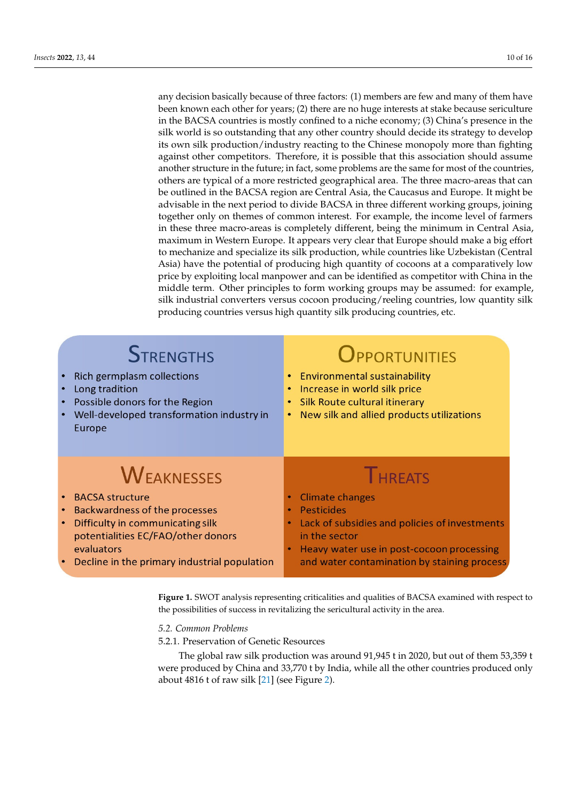any decision basically because of three factors: (1) members are few and many of them have been known each other for years; (2) there are no huge interests at stake because sericulture in the BACSA countries is mostly confined to a niche economy; (3) China's presence in the<br>cills used is as outstanding that any other country should docide its strategy to develop silk world is so outstanding that any other country should decide its strategy to develop its own silk production/industry reacting to the Chinese monopoly more than fighting its own silk production/industry reacting to the Chinese monopoly more than fighting against other competitors. Therefore, it is possible that this association should assume another structure in the future; in fact, some problems are the same for most of the countries, others are typical of a more restricted geographical area. The three macro-areas that can be outlined in the BACSA region are Central Asia, the Caucasus and Europe. It might be<br>Advisable in the novt nexied to divide BACSA in three different verying aroune isining advisable in the next period to divide BACSA in three different working groups, joining together only on themes of common interest. For example, the income level of farmers in these three macro-areas is completely different, being the minimum in Central Asia, maximum in Western Europe. It appears very clear that Europe should make a big effort to mechanize and specialize its silk production, while countries like Uzbekistan (Central Asia) have the potential of producing high quantity of cocoons at a comparatively low<br>Asia lea well it is a local magnesium at an about it with the compatition with Ghina in the price by exploiting local manpower and can be identified as competitor with China in the middle term. Other principles to form working groups may be assumed: for example, silk industrial converters versus cocoon producing/reeling countries, low quantity silk producing countries versus high quantity silk producing countries*,* etc.

<span id="page-9-0"></span>

| <b>STRENGTHS</b><br>Rich germplasm collections<br>Long tradition<br>Possible donors for the Region<br>Well-developed transformation industry in<br>Europe | OPPORTUNITIES<br><b>Environmental sustainability</b><br>$\bullet$<br>Increase in world silk price<br>٠<br>Silk Route cultural itinerary<br>$\bullet$<br>New silk and allied products utilizations<br>$\bullet$ |
|-----------------------------------------------------------------------------------------------------------------------------------------------------------|----------------------------------------------------------------------------------------------------------------------------------------------------------------------------------------------------------------|
|                                                                                                                                                           |                                                                                                                                                                                                                |
| <b>WEAKNESSES</b>                                                                                                                                         | <b>THREATS</b>                                                                                                                                                                                                 |
| <b>BACSA structure</b>                                                                                                                                    | <b>Climate changes</b><br>$\bullet$                                                                                                                                                                            |
| Backwardness of the processes                                                                                                                             | <b>Pesticides</b><br>$\bullet$                                                                                                                                                                                 |
| Difficulty in communicating silk                                                                                                                          | Lack of subsidies and policies of investments<br>$\bullet$<br>in the sector                                                                                                                                    |
| potentialities EC/FAO/other donors<br>evaluators                                                                                                          | Heavy water use in post-cocoon processing                                                                                                                                                                      |

of the cocoon production they need in Europe,  $C_{\rm eff}$  and  $C_{\rm eff}$  and  $C_{\rm eff}$ 

**Figure 1.** SWOT analysis representing criticalities and qualities of BACSA examined with respect to **Figure 1.** SWOT analysis representing criticalities and qualities of BACSA examined with respect to the possibilities of success in revitalizing the sericultural activity in the area. the possibilities of success in revitalizing the sericultural activity in the area.

# *5.1. Problems Related to the BACSA Structure 5.2. Common Problems*

5.2.1. Preservation of Genetic Resources

The global raw silk production was around 91,945 t in 2020, but out of them 53,359 t were produced by China and 33,770 t by India, while all the other countries produced only about 4816 t of raw silk [21] (see Figure 2).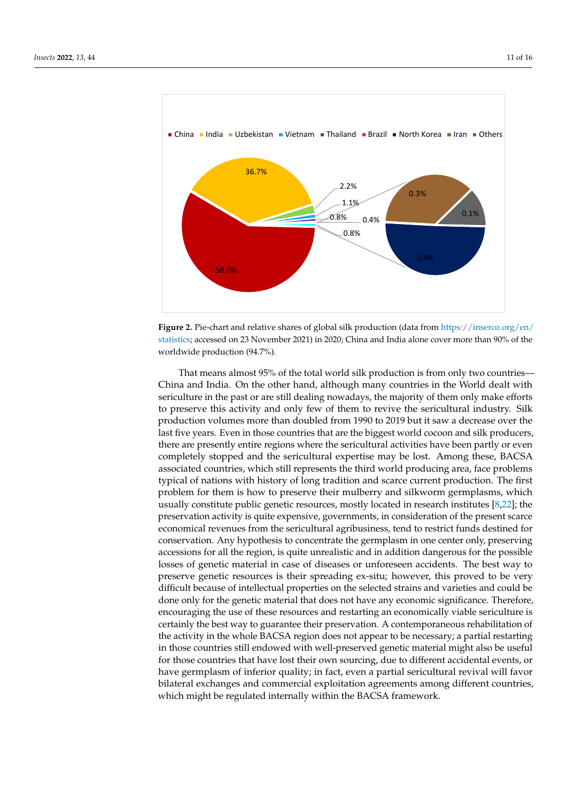<span id="page-10-0"></span>

**Figure 2.** Pie-chart and relative shares of global silk p[roduction \(data from](https://inserco.org/en/statistics) **Figure 2.** Pie-chart and relative shares of global silk production (data from https://inserco.org/en/ [statistics;](https://inserco.org/en/statistics) accessed on 23 November 2021) in 2020; China and India alone cover more than 90% of the worldwide production (94.7%).

That means almost 95% of the total world silk production is from only two That means almost 95% of the total world silk production is from only two countries— China and India. On the other hand, although many countries in the World dealt with sericulture in the past or are still dealing nowadays, the majority of them only make efforts to preserve this activity and only few of them to revive the sericultural industry. Silk production volumes more than doubled from 1990 to 2019 but it saw a decrease over the last five years. Even in those countries that are the biggest world cocoon and silk producers, there are presently entire regions where the sericultural activities have been partly or even completely stopped and the sericultural expertise may be lost. Among these, BACSA associated countries, which still represents the third world producing area, face problems typical of nations with history of long tradition and scarce current production. The first problem for them is how to preserve their mulberry and silkworm germplasms, which usually constitute public genetic resources, mostly located in research institutes [\[8](#page-14-7)[,22\]](#page-15-1); the preservation activity is quite expensive, governments, in consideration of the present scarce economical revenues from the sericultural agribusiness, tend to restrict funds destined for conservation. Any hypothesis to concentrate the germplasm in one center only, preserving accessions for all the region, is quite unrealistic and in addition dangerous for the possible losses of genetic material in case of diseases or unforeseen accidents. The best way to preserve genetic resources is their spreading ex-situ; however, this proved to be very difficult because of intellectual properties on the selected strains and varieties and could be done only for the genetic material that does not have any economic significance. Therefore, encouraging the use of these resources and restarting an economically viable sericulture is certainly the best way to guarantee their preservation. A contemporaneous rehabilitation of the activity in the whole BACSA region does not appear to be necessary; a partial restarting in those countries still endowed with well-preserved genetic material might also be useful for those countries that have lost their own sourcing, due to different accidental events, or have germplasm of inferior quality; in fact, even a partial sericultural revival will favor bilateral exchanges and commercial exploitation agreements among different countries, which might be regulated internally within the BACSA framework.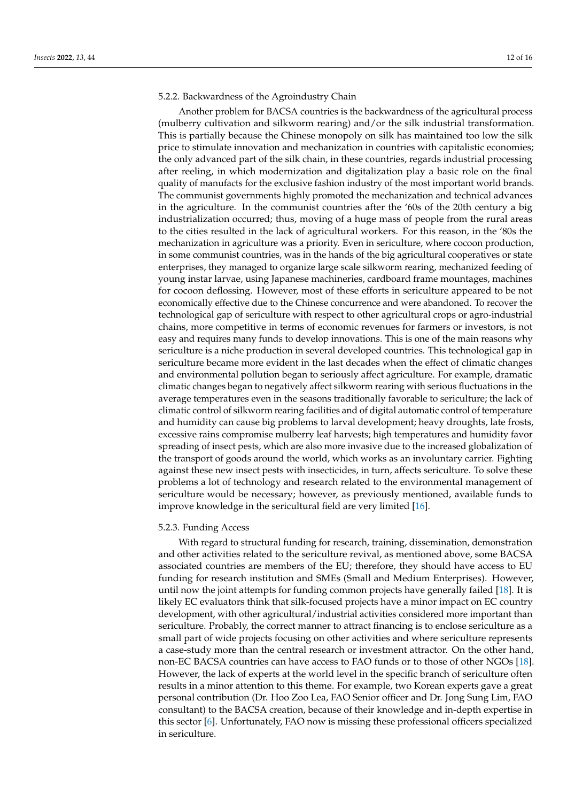#### 5.2.2. Backwardness of the Agroindustry Chain

Another problem for BACSA countries is the backwardness of the agricultural process (mulberry cultivation and silkworm rearing) and/or the silk industrial transformation. This is partially because the Chinese monopoly on silk has maintained too low the silk price to stimulate innovation and mechanization in countries with capitalistic economies; the only advanced part of the silk chain, in these countries, regards industrial processing after reeling, in which modernization and digitalization play a basic role on the final quality of manufacts for the exclusive fashion industry of the most important world brands. The communist governments highly promoted the mechanization and technical advances in the agriculture. In the communist countries after the '60s of the 20th century a big industrialization occurred; thus, moving of a huge mass of people from the rural areas to the cities resulted in the lack of agricultural workers. For this reason, in the '80s the mechanization in agriculture was a priority. Even in sericulture, where cocoon production, in some communist countries, was in the hands of the big agricultural cooperatives or state enterprises, they managed to organize large scale silkworm rearing, mechanized feeding of young instar larvae, using Japanese machineries, cardboard frame mountages, machines for cocoon deflossing. However, most of these efforts in sericulture appeared to be not economically effective due to the Chinese concurrence and were abandoned. To recover the technological gap of sericulture with respect to other agricultural crops or agro-industrial chains, more competitive in terms of economic revenues for farmers or investors, is not easy and requires many funds to develop innovations. This is one of the main reasons why sericulture is a niche production in several developed countries. This technological gap in sericulture became more evident in the last decades when the effect of climatic changes and environmental pollution began to seriously affect agriculture. For example, dramatic climatic changes began to negatively affect silkworm rearing with serious fluctuations in the average temperatures even in the seasons traditionally favorable to sericulture; the lack of climatic control of silkworm rearing facilities and of digital automatic control of temperature and humidity can cause big problems to larval development; heavy droughts, late frosts, excessive rains compromise mulberry leaf harvests; high temperatures and humidity favor spreading of insect pests, which are also more invasive due to the increased globalization of the transport of goods around the world, which works as an involuntary carrier. Fighting against these new insect pests with insecticides, in turn, affects sericulture. To solve these problems a lot of technology and research related to the environmental management of sericulture would be necessary; however, as previously mentioned, available funds to improve knowledge in the sericultural field are very limited [\[16\]](#page-14-14).

#### 5.2.3. Funding Access

With regard to structural funding for research, training, dissemination, demonstration and other activities related to the sericulture revival, as mentioned above, some BACSA associated countries are members of the EU; therefore, they should have access to EU funding for research institution and SMEs (Small and Medium Enterprises). However, until now the joint attempts for funding common projects have generally failed [\[18\]](#page-14-16). It is likely EC evaluators think that silk-focused projects have a minor impact on EC country development, with other agricultural/industrial activities considered more important than sericulture. Probably, the correct manner to attract financing is to enclose sericulture as a small part of wide projects focusing on other activities and where sericulture represents a case-study more than the central research or investment attractor. On the other hand, non-EC BACSA countries can have access to FAO funds or to those of other NGOs [\[18\]](#page-14-16). However, the lack of experts at the world level in the specific branch of sericulture often results in a minor attention to this theme. For example, two Korean experts gave a great personal contribution (Dr. Hoo Zoo Lea, FAO Senior officer and Dr. Jong Sung Lim, FAO consultant) to the BACSA creation, because of their knowledge and in-depth expertise in this sector [\[6\]](#page-14-5). Unfortunately, FAO now is missing these professional officers specialized in sericulture.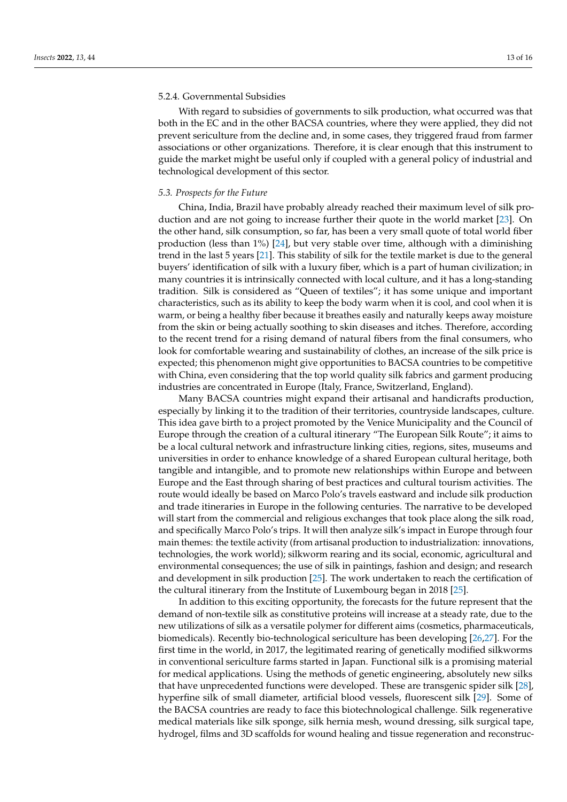## 5.2.4. Governmental Subsidies

With regard to subsidies of governments to silk production, what occurred was that both in the EC and in the other BACSA countries, where they were applied, they did not prevent sericulture from the decline and, in some cases, they triggered fraud from farmer associations or other organizations. Therefore, it is clear enough that this instrument to guide the market might be useful only if coupled with a general policy of industrial and technological development of this sector.

### *5.3. Prospects for the Future*

China, India, Brazil have probably already reached their maximum level of silk production and are not going to increase further their quote in the world market [\[23\]](#page-15-2). On the other hand, silk consumption, so far, has been a very small quote of total world fiber production (less than 1%) [\[24\]](#page-15-3), but very stable over time, although with a diminishing trend in the last 5 years [\[21\]](#page-15-0). This stability of silk for the textile market is due to the general buyers' identification of silk with a luxury fiber, which is a part of human civilization; in many countries it is intrinsically connected with local culture, and it has a long-standing tradition. Silk is considered as "Queen of textiles"; it has some unique and important characteristics, such as its ability to keep the body warm when it is cool, and cool when it is warm, or being a healthy fiber because it breathes easily and naturally keeps away moisture from the skin or being actually soothing to skin diseases and itches. Therefore, according to the recent trend for a rising demand of natural fibers from the final consumers, who look for comfortable wearing and sustainability of clothes, an increase of the silk price is expected; this phenomenon might give opportunities to BACSA countries to be competitive with China, even considering that the top world quality silk fabrics and garment producing industries are concentrated in Europe (Italy, France, Switzerland, England).

Many BACSA countries might expand their artisanal and handicrafts production, especially by linking it to the tradition of their territories, countryside landscapes, culture. This idea gave birth to a project promoted by the Venice Municipality and the Council of Europe through the creation of a cultural itinerary "The European Silk Route"; it aims to be a local cultural network and infrastructure linking cities, regions, sites, museums and universities in order to enhance knowledge of a shared European cultural heritage, both tangible and intangible, and to promote new relationships within Europe and between Europe and the East through sharing of best practices and cultural tourism activities. The route would ideally be based on Marco Polo's travels eastward and include silk production and trade itineraries in Europe in the following centuries. The narrative to be developed will start from the commercial and religious exchanges that took place along the silk road, and specifically Marco Polo's trips. It will then analyze silk's impact in Europe through four main themes: the textile activity (from artisanal production to industrialization: innovations, technologies, the work world); silkworm rearing and its social, economic, agricultural and environmental consequences; the use of silk in paintings, fashion and design; and research and development in silk production [\[25\]](#page-15-4). The work undertaken to reach the certification of the cultural itinerary from the Institute of Luxembourg began in 2018 [\[25\]](#page-15-4).

In addition to this exciting opportunity, the forecasts for the future represent that the demand of non-textile silk as constitutive proteins will increase at a steady rate, due to the new utilizations of silk as a versatile polymer for different aims (cosmetics, pharmaceuticals, biomedicals). Recently bio-technological sericulture has been developing [\[26](#page-15-5)[,27\]](#page-15-6). For the first time in the world, in 2017, the legitimated rearing of genetically modified silkworms in conventional sericulture farms started in Japan. Functional silk is a promising material for medical applications. Using the methods of genetic engineering, absolutely new silks that have unprecedented functions were developed. These are transgenic spider silk [\[28\]](#page-15-7), hyperfine silk of small diameter, artificial blood vessels, fluorescent silk [\[29\]](#page-15-8). Some of the BACSA countries are ready to face this biotechnological challenge. Silk regenerative medical materials like silk sponge, silk hernia mesh, wound dressing, silk surgical tape, hydrogel, films and 3D scaffolds for wound healing and tissue regeneration and reconstruc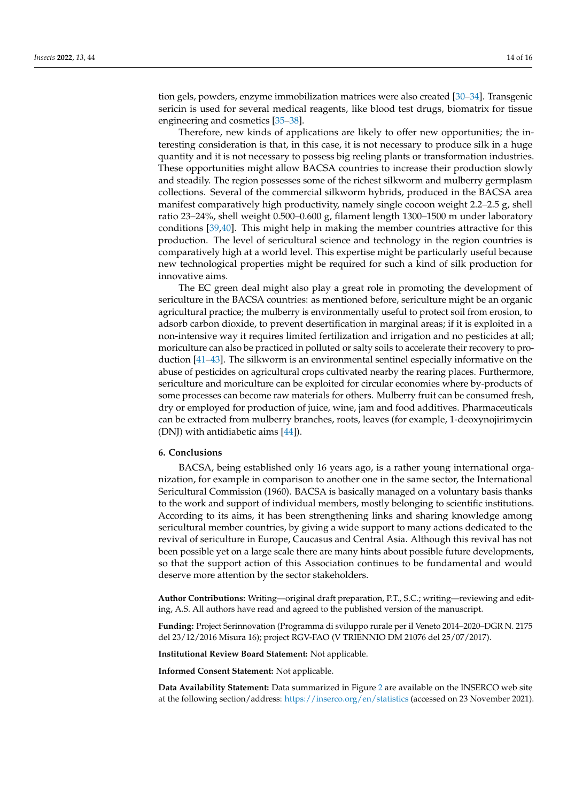tion gels, powders, enzyme immobilization matrices were also created [\[30](#page-15-9)[–34\]](#page-15-10). Transgenic sericin is used for several medical reagents, like blood test drugs, biomatrix for tissue engineering and cosmetics [\[35–](#page-15-11)[38\]](#page-15-12).

Therefore, new kinds of applications are likely to offer new opportunities; the interesting consideration is that, in this case, it is not necessary to produce silk in a huge quantity and it is not necessary to possess big reeling plants or transformation industries. These opportunities might allow BACSA countries to increase their production slowly and steadily. The region possesses some of the richest silkworm and mulberry germplasm collections. Several of the commercial silkworm hybrids, produced in the BACSA area manifest comparatively high productivity, namely single cocoon weight 2.2–2.5 g, shell ratio 23–24%, shell weight 0.500–0.600 g, filament length 1300–1500 m under laboratory conditions [\[39,](#page-15-13)[40\]](#page-15-14). This might help in making the member countries attractive for this production. The level of sericultural science and technology in the region countries is comparatively high at a world level. This expertise might be particularly useful because new technological properties might be required for such a kind of silk production for innovative aims.

The EC green deal might also play a great role in promoting the development of sericulture in the BACSA countries: as mentioned before, sericulture might be an organic agricultural practice; the mulberry is environmentally useful to protect soil from erosion, to adsorb carbon dioxide, to prevent desertification in marginal areas; if it is exploited in a non-intensive way it requires limited fertilization and irrigation and no pesticides at all; moriculture can also be practiced in polluted or salty soils to accelerate their recovery to production [\[41](#page-15-15)[–43\]](#page-15-16). The silkworm is an environmental sentinel especially informative on the abuse of pesticides on agricultural crops cultivated nearby the rearing places. Furthermore, sericulture and moriculture can be exploited for circular economies where by-products of some processes can become raw materials for others. Mulberry fruit can be consumed fresh, dry or employed for production of juice, wine, jam and food additives. Pharmaceuticals can be extracted from mulberry branches, roots, leaves (for example, 1-deoxynojirimycin (DNJ) with antidiabetic aims [\[44\]](#page-15-17)).

## **6. Conclusions**

BACSA, being established only 16 years ago, is a rather young international organization, for example in comparison to another one in the same sector, the International Sericultural Commission (1960). BACSA is basically managed on a voluntary basis thanks to the work and support of individual members, mostly belonging to scientific institutions. According to its aims, it has been strengthening links and sharing knowledge among sericultural member countries, by giving a wide support to many actions dedicated to the revival of sericulture in Europe, Caucasus and Central Asia. Although this revival has not been possible yet on a large scale there are many hints about possible future developments, so that the support action of this Association continues to be fundamental and would deserve more attention by the sector stakeholders.

**Author Contributions:** Writing—original draft preparation, P.T., S.C.; writing—reviewing and editing, A.S. All authors have read and agreed to the published version of the manuscript.

**Funding:** Project Serinnovation (Programma di sviluppo rurale per il Veneto 2014–2020–DGR N. 2175 del 23/12/2016 Misura 16); project RGV-FAO (V TRIENNIO DM 21076 del 25/07/2017).

**Institutional Review Board Statement:** Not applicable.

**Informed Consent Statement:** Not applicable.

**Data Availability Statement:** Data summarized in Figure [2](#page-10-0) are available on the INSERCO web site at the following section/address: <https://inserco.org/en/statistics> (accessed on 23 November 2021).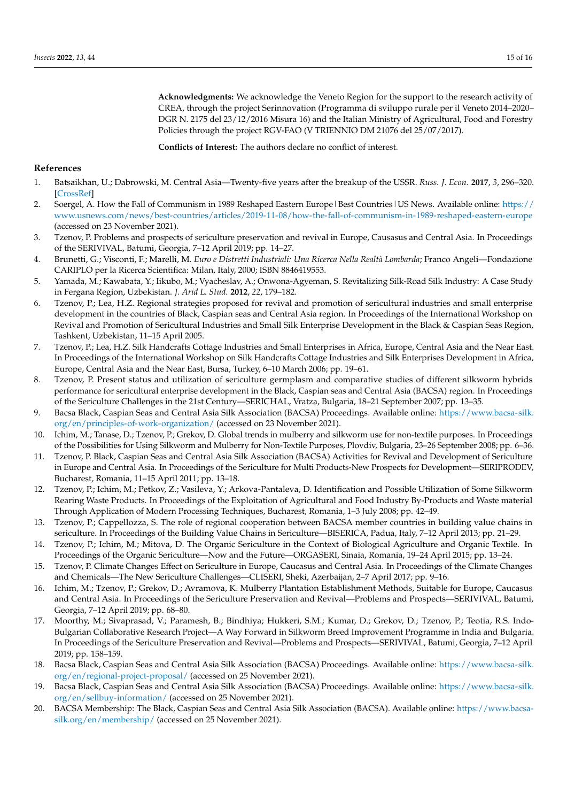**Acknowledgments:** We acknowledge the Veneto Region for the support to the research activity of CREA, through the project Serinnovation (Programma di sviluppo rurale per il Veneto 2014–2020– DGR N. 2175 del 23/12/2016 Misura 16) and the Italian Ministry of Agricultural, Food and Forestry Policies through the project RGV-FAO (V TRIENNIO DM 21076 del 25/07/2017).

**Conflicts of Interest:** The authors declare no conflict of interest.

## **References**

- <span id="page-14-0"></span>1. Batsaikhan, U.; Dabrowski, M. Central Asia—Twenty-five years after the breakup of the USSR. *Russ. J. Econ.* **2017**, *3*, 296–320. [\[CrossRef\]](http://doi.org/10.1016/j.ruje.2017.09.005)
- <span id="page-14-1"></span>2. Soergel, A. How the Fall of Communism in 1989 Reshaped Eastern Europe|Best Countries|US News. Available online: [https://](https://www.usnews.com/news/best-countries/articles/2019-11-08/how-the-fall-of-communism-in-1989-reshaped-eastern-europe) [www.usnews.com/news/best-countries/articles/2019-11-08/how-the-fall-of-communism-in-1989-reshaped-eastern-europe](https://www.usnews.com/news/best-countries/articles/2019-11-08/how-the-fall-of-communism-in-1989-reshaped-eastern-europe) (accessed on 23 November 2021).
- <span id="page-14-2"></span>3. Tzenov, P. Problems and prospects of sericulture preservation and revival in Europe, Causasus and Central Asia. In Proceedings of the SERIVIVAL, Batumi, Georgia, 7–12 April 2019; pp. 14–27.
- <span id="page-14-3"></span>4. Brunetti, G.; Visconti, F.; Marelli, M. *Euro e Distretti Industriali: Una Ricerca Nella Realtà Lombarda*; Franco Angeli—Fondazione CARIPLO per la Ricerca Scientifica: Milan, Italy, 2000; ISBN 8846419553.
- <span id="page-14-4"></span>5. Yamada, M.; Kawabata, Y.; Iikubo, M.; Vyacheslav, A.; Onwona-Agyeman, S. Revitalizing Silk-Road Silk Industry: A Case Study in Fergana Region, Uzbekistan. *J. Arid L. Stud.* **2012**, *22*, 179–182.
- <span id="page-14-5"></span>6. Tzenov, P.; Lea, H.Z. Regional strategies proposed for revival and promotion of sericultural industries and small enterprise development in the countries of Black, Caspian seas and Central Asia region. In Proceedings of the International Workshop on Revival and Promotion of Sericultural Industries and Small Silk Enterprise Development in the Black & Caspian Seas Region, Tashkent, Uzbekistan, 11–15 April 2005.
- <span id="page-14-6"></span>7. Tzenov, P.; Lea, H.Z. Silk Handcrafts Cottage Industries and Small Enterprises in Africa, Europe, Central Asia and the Near East. In Proceedings of the International Workshop on Silk Handcrafts Cottage Industries and Silk Enterprises Development in Africa, Europe, Central Asia and the Near East, Bursa, Turkey, 6–10 March 2006; pp. 19–61.
- <span id="page-14-7"></span>8. Tzenov, P. Present status and utilization of sericulture germplasm and comparative studies of different silkworm hybrids performance for sericultural enterprise development in the Black, Caspian seas and Central Asia (BACSA) region. In Proceedings of the Sericulture Challenges in the 21st Century—SERICHAL, Vratza, Bulgaria, 18–21 September 2007; pp. 13–35.
- <span id="page-14-8"></span>9. Bacsa Black, Caspian Seas and Central Asia Silk Association (BACSA) Proceedings. Available online: [https://www.bacsa-silk.](https://www.bacsa-silk.org/en/principles-of-work-organization/) [org/en/principles-of-work-organization/](https://www.bacsa-silk.org/en/principles-of-work-organization/) (accessed on 23 November 2021).
- <span id="page-14-9"></span>10. Ichim, M.; Tanase, D.; Tzenov, P.; Grekov, D. Global trends in mulberry and silkworm use for non-textile purposes. In Proceedings of the Possibilities for Using Silkworm and Mulberry for Non-Textile Purposes, Plovdiv, Bulgaria, 23–26 September 2008; pp. 6–36.
- <span id="page-14-18"></span>11. Tzenov, P. Black, Caspian Seas and Central Asia Silk Association (BACSA) Activities for Revival and Development of Sericulture in Europe and Central Asia. In Proceedings of the Sericulture for Multi Products-New Prospects for Development—SERIPRODEV, Bucharest, Romania, 11–15 April 2011; pp. 13–18.
- <span id="page-14-10"></span>12. Tzenov, P.; Ichim, M.; Petkov, Z.; Vasileva, Y.; Arkova-Pantaleva, D. Identification and Possible Utilization of Some Silkworm Rearing Waste Products. In Proceedings of the Exploitation of Agricultural and Food Industry By-Products and Waste material Through Application of Modern Processing Techniques, Bucharest, Romania, 1–3 July 2008; pp. 42–49.
- <span id="page-14-11"></span>13. Tzenov, P.; Cappellozza, S. The role of regional cooperation between BACSA member countries in building value chains in sericulture. In Proceedings of the Building Value Chains in Sericulture—BISERICA, Padua, Italy, 7–12 April 2013; pp. 21–29.
- <span id="page-14-12"></span>14. Tzenov, P.; Ichim, M.; Mitova, D. The Organic Sericulture in the Context of Biological Agriculture and Organic Textile. In Proceedings of the Organic Sericulture—Now and the Future—ORGASERI, Sinaia, Romania, 19–24 April 2015; pp. 13–24.
- <span id="page-14-13"></span>15. Tzenov, P. Climate Changes Effect on Sericulture in Europe, Caucasus and Central Asia. In Proceedings of the Climate Changes and Chemicals—The New Sericulture Challenges—CLISERI, Sheki, Azerbaijan, 2–7 April 2017; pp. 9–16.
- <span id="page-14-14"></span>16. Ichim, M.; Tzenov, P.; Grekov, D.; Avramova, K. Mulberry Plantation Establishment Methods, Suitable for Europe, Caucasus and Central Asia. In Proceedings of the Sericulture Preservation and Revival—Problems and Prospects—SERIVIVAL, Batumi, Georgia, 7–12 April 2019; pp. 68–80.
- <span id="page-14-15"></span>17. Moorthy, M.; Sivaprasad, V.; Paramesh, B.; Bindhiya; Hukkeri, S.M.; Kumar, D.; Grekov, D.; Tzenov, P.; Teotia, R.S. Indo-Bulgarian Collaborative Research Project—A Way Forward in Silkworm Breed Improvement Programme in India and Bulgaria. In Proceedings of the Sericulture Preservation and Revival—Problems and Prospects—SERIVIVAL, Batumi, Georgia, 7–12 April 2019; pp. 158–159.
- <span id="page-14-16"></span>18. Bacsa Black, Caspian Seas and Central Asia Silk Association (BACSA) Proceedings. Available online: [https://www.bacsa-silk.](https://www.bacsa-silk.org/en/regional-project-proposal/) [org/en/regional-project-proposal/](https://www.bacsa-silk.org/en/regional-project-proposal/) (accessed on 25 November 2021).
- <span id="page-14-17"></span>19. Bacsa Black, Caspian Seas and Central Asia Silk Association (BACSA) Proceedings. Available online: [https://www.bacsa-silk.](https://www.bacsa-silk.org/en/sellbuy-information/) [org/en/sellbuy-information/](https://www.bacsa-silk.org/en/sellbuy-information/) (accessed on 25 November 2021).
- <span id="page-14-19"></span>20. BACSA Membership: The Black, Caspian Seas and Central Asia Silk Association (BACSA). Available online: [https://www.bacsa](https://www.bacsa-silk.org/en/membership/)[silk.org/en/membership/](https://www.bacsa-silk.org/en/membership/) (accessed on 25 November 2021).